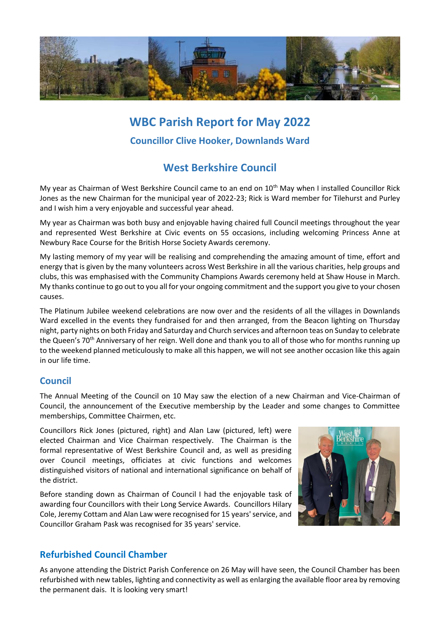

# **WBC Parish Report for May 2022 Councillor Clive Hooker, Downlands Ward**

## **West Berkshire Council**

My year as Chairman of West Berkshire Council came to an end on 10<sup>th</sup> May when I installed Councillor Rick Jones as the new Chairman for the municipal year of 2022-23; Rick is Ward member for Tilehurst and Purley and I wish him a very enjoyable and successful year ahead.

My year as Chairman was both busy and enjoyable having chaired full Council meetings throughout the year and represented West Berkshire at Civic events on 55 occasions, including welcoming Princess Anne at Newbury Race Course for the British Horse Society Awards ceremony.

My lasting memory of my year will be realising and comprehending the amazing amount of time, effort and energy that is given by the many volunteers across West Berkshire in all the various charities, help groups and clubs, this was emphasised with the Community Champions Awards ceremony held at Shaw House in March. My thanks continue to go out to you all for your ongoing commitment and the support you give to your chosen causes.

The Platinum Jubilee weekend celebrations are now over and the residents of all the villages in Downlands Ward excelled in the events they fundraised for and then arranged, from the Beacon lighting on Thursday night, party nights on both Friday and Saturday and Church services and afternoon teas on Sunday to celebrate the Queen's 70<sup>th</sup> Anniversary of her reign. Well done and thank you to all of those who for months running up to the weekend planned meticulously to make all this happen, we will not see another occasion like this again in our life time.

## **Council**

The Annual Meeting of the Council on 10 May saw the election of a new Chairman and Vice-Chairman of Council, the announcement of the Executive membership by the Leader and some changes to Committee memberships, Committee Chairmen, etc.

Councillors Rick Jones (pictured, right) and Alan Law (pictured, left) were elected Chairman and Vice Chairman respectively. The Chairman is the formal representative of West Berkshire Council and, as well as presiding over Council meetings, officiates at civic functions and welcomes distinguished visitors of national and international significance on behalf of the district.

Before standing down as Chairman of Council I had the enjoyable task of awarding four Councillors with their Long Service Awards. Councillors Hilary Cole, Jeremy Cottam and Alan Law were recognised for 15 years' service, and Councillor Graham Pask was recognised for 35 years' service.



## **Refurbished Council Chamber**

As anyone attending the District Parish Conference on 26 May will have seen, the Council Chamber has been refurbished with new tables, lighting and connectivity as well as enlarging the available floor area by removing the permanent dais. It is looking very smart!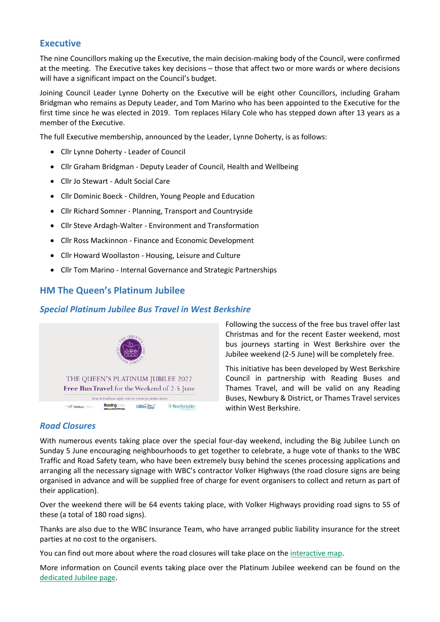#### **Executive**

The nine Councillors making up the Executive, the main decision-making body of the Council, were confirmed at the meeting. The Executive takes key decisions – those that affect two or more wards or where decisions will have a significant impact on the Council's budget.

Joining Council Leader Lynne Doherty on the Executive will be eight other Councillors, including Graham Bridgman who remains as Deputy Leader, and Tom Marino who has been appointed to the Executive for the first time since he was elected in 2019. Tom replaces Hilary Cole who has stepped down after 13 years as a member of the Executive.

The full Executive membership, announced by the Leader, Lynne Doherty, is as follows:

- Cllr Lynne Doherty Leader of Council
- Cllr Graham Bridgman Deputy Leader of Council, Health and Wellbeing
- Cllr Jo Stewart Adult Social Care
- Cllr Dominic Boeck Children, Young People and Education
- Cllr Richard Somner Planning, Transport and Countryside
- Cllr Steve Ardagh-Walter Environment and Transformation
- Cllr Ross Mackinnon Finance and Economic Development
- Cllr Howard Woollaston Housing, Leisure and Culture
- Cllr Tom Marino Internal Governance and Strategic Partnerships

#### **HM The Queen's Platinum Jubilee**

#### *Special Platinum Jubilee Bus Travel in West Berkshire*



Following the success of the free bus travel offer last Christmas and for the recent Easter weekend, most bus journeys starting in West Berkshire over the Jubilee weekend (2-5 June) will be completely free.

This initiative has been developed by West Berkshire Council in partnership with Reading Buses and Thames Travel, and will be valid on any Reading Buses, Newbury & District, or Thames Travel services within West Berkshire.

#### *Road Closures*

With numerous events taking place over the special four-day weekend, including the Big Jubilee Lunch on Sunday 5 June encouraging neighbourhoods to get together to celebrate, a huge vote of thanks to the WBC Traffic and Road Safety team, who have been extremely busy behind the scenes processing applications and arranging all the necessary signage with WBC's contractor Volker Highways (the road closure signs are being organised in advance and will be supplied free of charge for event organisers to collect and return as part of their application).

Over the weekend there will be 64 events taking place, with Volker Highways providing road signs to 55 of these (a total of 180 road signs).

Thanks are also due to the WBC Insurance Team, who have arranged public liability insurance for the street parties at no cost to the organisers.

You can find out more about where the road closures will take place on the [interactive map.](https://www.westberks.gov.uk/roadworksmap)

More information on Council events taking place over the Platinum Jubilee weekend can be found on the [dedicated Jubilee page.](https://info.westberks.gov.uk/jubilee)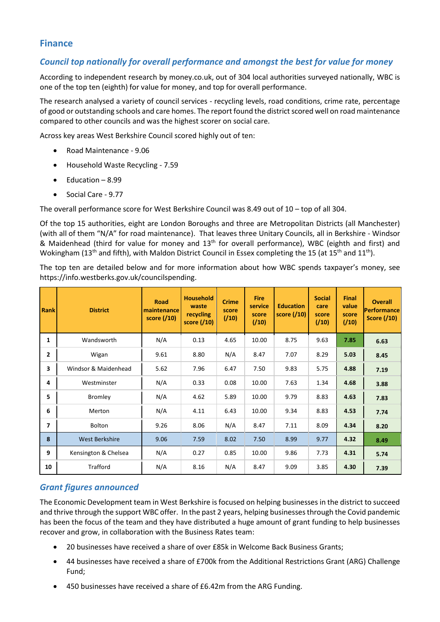## **Finance**

#### *Council top nationally for overall performance and amongst the best for value for money*

According to independent research by money.co.uk, out of 304 local authorities surveyed nationally, WBC is one of the top ten (eighth) for value for money, and top for overall performance.

The research analysed a variety of council services - recycling levels, road conditions, crime rate, percentage of good or outstanding schools and care homes. The report found the district scored well on road maintenance compared to other councils and was the highest scorer on social care.

Across key areas West Berkshire Council scored highly out of ten:

- Road Maintenance 9.06
- Household Waste Recycling 7.59
- Education 8.99
- Social Care 9.77

The overall performance score for West Berkshire Council was 8.49 out of 10 – top of all 304.

Of the top 15 authorities, eight are London Boroughs and three are Metropolitan Districts (all Manchester) (with all of them "N/A" for road maintenance). That leaves three Unitary Councils, all in Berkshire - Windsor & Maidenhead (third for value for money and 13<sup>th</sup> for overall performance), WBC (eighth and first) and Wokingham (13<sup>th</sup> and fifth), with Maldon District Council in Essex completing the 15 (at 15<sup>th</sup> and 11<sup>th</sup>).

The top ten are detailed below and for more information about how WBC spends taxpayer's money, see https://info.westberks.gov.uk/councilspending.

| <b>Rank</b>  | <b>District</b>       | <b>Road</b><br>maintenance<br>score $(10)$ | <b>Household</b><br>waste<br>recycling<br>score (/10) | <b>Crime</b><br>score<br>(10) | <b>Fire</b><br>service<br>score<br>(10) | <b>Education</b><br>score $(10)$ | <b>Social</b><br>care<br>score<br>(110) | <b>Final</b><br>value<br>score<br>(10) | <b>Overall</b><br>Performance<br><b>Score (/10)</b> |
|--------------|-----------------------|--------------------------------------------|-------------------------------------------------------|-------------------------------|-----------------------------------------|----------------------------------|-----------------------------------------|----------------------------------------|-----------------------------------------------------|
| 1            | Wandsworth            | N/A                                        | 0.13                                                  | 4.65                          | 10.00                                   | 8.75                             | 9.63                                    | 7.85                                   | 6.63                                                |
| $\mathbf{2}$ | Wigan                 | 9.61                                       | 8.80                                                  | N/A                           | 8.47                                    | 7.07                             | 8.29                                    | 5.03                                   | 8.45                                                |
| 3            | Windsor & Maidenhead  | 5.62                                       | 7.96                                                  | 6.47                          | 7.50                                    | 9.83                             | 5.75                                    | 4.88                                   | 7.19                                                |
| 4            | Westminster           | N/A                                        | 0.33                                                  | 0.08                          | 10.00                                   | 7.63                             | 1.34                                    | 4.68                                   | 3.88                                                |
| 5            | Bromley               | N/A                                        | 4.62                                                  | 5.89                          | 10.00                                   | 9.79                             | 8.83                                    | 4.63                                   | 7.83                                                |
| 6            | Merton                | N/A                                        | 4.11                                                  | 6.43                          | 10.00                                   | 9.34                             | 8.83                                    | 4.53                                   | 7.74                                                |
| 7            | <b>Bolton</b>         | 9.26                                       | 8.06                                                  | N/A                           | 8.47                                    | 7.11                             | 8.09                                    | 4.34                                   | 8.20                                                |
| 8            | <b>West Berkshire</b> | 9.06                                       | 7.59                                                  | 8.02                          | 7.50                                    | 8.99                             | 9.77                                    | 4.32                                   | 8.49                                                |
| 9            | Kensington & Chelsea  | N/A                                        | 0.27                                                  | 0.85                          | 10.00                                   | 9.86                             | 7.73                                    | 4.31                                   | 5.74                                                |
| 10           | <b>Trafford</b>       | N/A                                        | 8.16                                                  | N/A                           | 8.47                                    | 9.09                             | 3.85                                    | 4.30                                   | 7.39                                                |

## *Grant figures announced*

The Economic Development team in West Berkshire is focused on helping businesses in the district to succeed and thrive through the support WBC offer. In the past 2 years, helping businesses through the Covid pandemic has been the focus of the team and they have distributed a huge amount of grant funding to help businesses recover and grow, in collaboration with the Business Rates team:

- 20 businesses have received a share of over £85k in Welcome Back Business Grants;
- 44 businesses have received a share of £700k from the Additional Restrictions Grant (ARG) Challenge Fund;
- 450 businesses have received a share of £6.42m from the ARG Funding.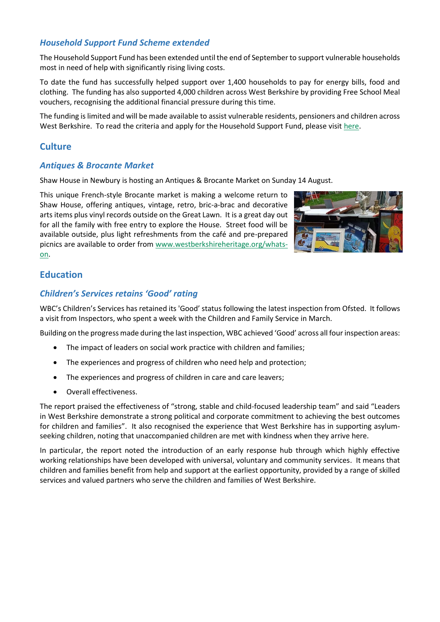#### *Household Support Fund Scheme extended*

The Household Support Fund has been extended until the end of September to support vulnerable households most in need of help with significantly rising living costs.

To date the fund has successfully helped support over 1,400 households to pay for energy bills, food and clothing. The funding has also supported 4,000 children across West Berkshire by providing Free School Meal vouchers, recognising the additional financial pressure during this time.

The funding is limited and will be made available to assist vulnerable residents, pensioners and children across West Berkshire. To read the criteria and apply for the Household Support Fund, please visit [here.](http://westberks.gov.uk/householdsupportfund)

### **Culture**

#### *Antiques & Brocante Market*

Shaw House in Newbury is hosting an Antiques & Brocante Market on Sunday 14 August.

This unique French-style Brocante market is making a welcome return to Shaw House, offering antiques, vintage, retro, bric-a-brac and decorative arts items plus vinyl records outside on the Great Lawn. It is a great day out for all the family with free entry to explore the House. Street food will be available outside, plus light refreshments from the café and pre-prepared picnics are available to order from [www.westberkshireheritage.org/whats](http://www.westberkshireheritage.org/whats-on)[on.](http://www.westberkshireheritage.org/whats-on)



## **Education**

#### *Children's Services retains 'Good' rating*

WBC's Children's Services has retained its 'Good' status following the latest inspection from Ofsted. It follows a visit from Inspectors, who spent a week with the Children and Family Service in March.

Building on the progress made during the last inspection, WBC achieved 'Good' across all four inspection areas:

- The impact of leaders on social work practice with children and families;
- The experiences and progress of children who need help and protection;
- The experiences and progress of children in care and care leavers;
- Overall effectiveness.

The report praised the effectiveness of "strong, stable and child-focused leadership team" and said "Leaders in West Berkshire demonstrate a strong political and corporate commitment to achieving the best outcomes for children and families". It also recognised the experience that West Berkshire has in supporting asylumseeking children, noting that unaccompanied children are met with kindness when they arrive here.

In particular, the report noted the introduction of an early response hub through which highly effective working relationships have been developed with universal, voluntary and community services. It means that children and families benefit from help and support at the earliest opportunity, provided by a range of skilled services and valued partners who serve the children and families of West Berkshire.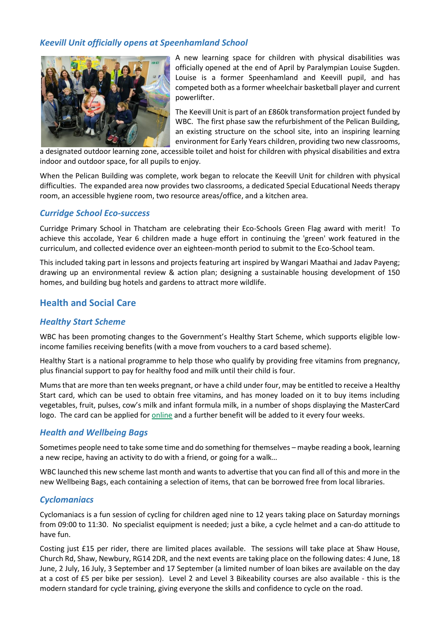#### *Keevill Unit officially opens at Speenhamland School*



A new learning space for children with physical disabilities was officially opened at the end of April by Paralympian Louise Sugden. Louise is a former Speenhamland and Keevill pupil, and has competed both as a former wheelchair basketball player and current powerlifter.

The Keevill Unit is part of an £860k transformation project funded by WBC. The first phase saw the refurbishment of the Pelican Building, an existing structure on the school site, into an inspiring learning environment for Early Years children, providing two new classrooms,

a designated outdoor learning zone, accessible toilet and hoist for children with physical disabilities and extra indoor and outdoor space, for all pupils to enjoy.

When the Pelican Building was complete, work began to relocate the Keevill Unit for children with physical difficulties. The expanded area now provides two classrooms, a dedicated Special Educational Needs therapy room, an accessible hygiene room, two resource areas/office, and a kitchen area.

#### *Curridge School Eco-success*

Curridge Primary School in Thatcham are celebrating their Eco-Schools Green Flag award with merit! To achieve this accolade, Year 6 children made a huge effort in continuing the 'green' work featured in the curriculum, and collected evidence over an eighteen-month period to submit to the Eco-School team.

This included taking part in lessons and projects featuring art inspired by Wangari Maathai and Jadav Payeng; drawing up an environmental review & action plan; designing a sustainable housing development of 150 homes, and building bug hotels and gardens to attract more wildlife.

## **Health and Social Care**

#### *Healthy Start Scheme*

WBC has been promoting changes to the Government's Healthy Start Scheme, which supports eligible lowincome families receiving benefits (with a move from vouchers to a card based scheme).

[Healthy Start](https://protect-eu.mimecast.com/s/KuDLCVPrZU2n2n4FzdSs5?domain=track.vuelio.uk.com) is a national programme to help those who qualify by providing free vitamins from pregnancy, plus financial support to pay for healthy food and milk until their child is four.

Mums that are more than ten weeks pregnant, or have a child under four, may be entitled to receive a Healthy Start card, which can be used to obtain free vitamins, and has money loaded on it to buy items including vegetables, fruit, pulses, cow's milk and infant formula milk, in a number of shops displaying the MasterCard logo. The card can be applied for [online](https://www.healthystart.nhs.uk/how-to-apply/) and a further benefit will be added to it every four weeks.

#### *Health and Wellbeing Bags*

Sometimes people need to take some time and do something for themselves – maybe reading a book, learning a new recipe, having an activity to do with a friend, or going for a walk…

WBC launched this new scheme last month and wants to advertise that you can find all of this and more in the new Wellbeing Bags, each containing a selection of items, that can be borrowed free from local libraries.

#### *Cyclomaniacs*

Cyclomaniacs is a fun session of cycling for children aged nine to 12 years taking place on Saturday mornings from 09:00 to 11:30. No specialist equipment is needed; just a bike, a cycle helmet and a can-do attitude to have fun.

Costing just £15 per rider, there are limited places available. The sessions will take place at Shaw House, Church Rd, Shaw, Newbury, RG14 2DR, and the next events are taking place on the following dates: 4 June, 18 June, 2 July, 16 July, 3 September and 17 September (a limited number of loan bikes are available on the day at a cost of £5 per bike per session). Level 2 and Level 3 Bikeability courses are also available - this is the modern standard for cycle training, giving everyone the skills and confidence to cycle on the road.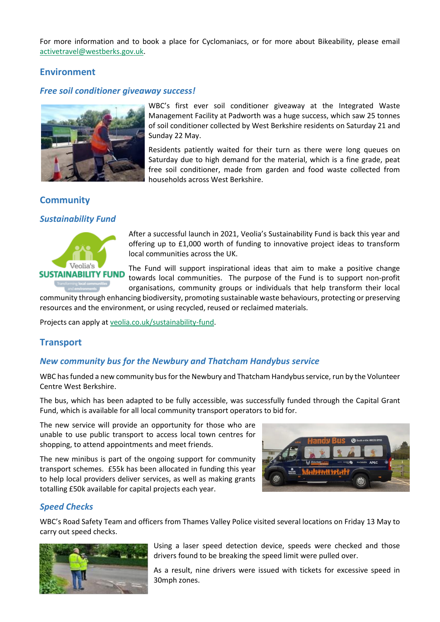For more information and to book a place for Cyclomaniacs, or for more about Bikeability, please email [activetravel@westberks.gov.uk.](mailto:activetravel@westberks.gov.uk)

### **Environment**

#### *Free soil conditioner giveaway success!*



WBC's first ever soil conditioner giveaway at the Integrated Waste Management Facility at Padworth was a huge success, which saw 25 tonnes of soil conditioner collected by West Berkshire residents on Saturday 21 and Sunday 22 May.

Residents patiently waited for their turn as there were long queues on Saturday due to high demand for the material, which is a fine grade, peat free soil conditioner, made from garden and food waste collected from households across West Berkshire.

## **Community**

#### *Sustainability Fund*



After a successful launch in 2021, Veolia's Sustainability Fund is back this year and offering up to £1,000 worth of funding to innovative project ideas to transform local communities across the UK.

The Fund will support inspirational ideas that aim to make a positive change towards local communities. The purpose of the Fund is to support non-profit organisations, community groups or individuals that help transform their local

community through enhancing biodiversity, promoting sustainable waste behaviours, protecting or preserving resources and the environment, or using recycled, reused or reclaimed materials.

Projects can apply at veolia.co.uk/sustainability-fund.

#### **Transport**

#### *New community bus for the Newbury and Thatcham Handybus service*

WBC has funded a new community bus for the Newbury and Thatcham Handybus service, run by the Volunteer Centre West Berkshire.

The bus, which has been adapted to be fully accessible, was successfully funded through the Capital Grant Fund, which is available for all local community transport operators to bid for.

The new service will provide an opportunity for those who are unable to use public transport to access local town centres for shopping, to attend appointments and meet friends.

The new minibus is part of the ongoing support for community transport schemes. £55k has been allocated in funding this year to help local providers deliver services, as well as making grants totalling £50k available for capital projects each year.



#### *Speed Checks*

WBC's Road Safety Team and officers from Thames Valley Police visited several locations on Friday 13 May to carry out speed checks.



Using a laser speed detection device, speeds were checked and those drivers found to be breaking the speed limit were pulled over.

As a result, nine drivers were issued with tickets for excessive speed in 30mph zones.